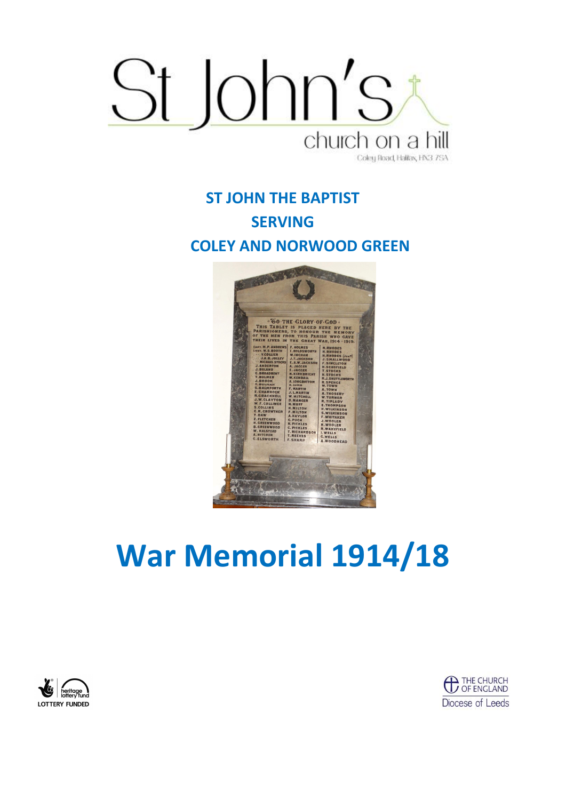

**ST JOHN THE BAPTIST SERVING COLEY AND NORWOOD GREEN**



# **War Memorial 1914/18**



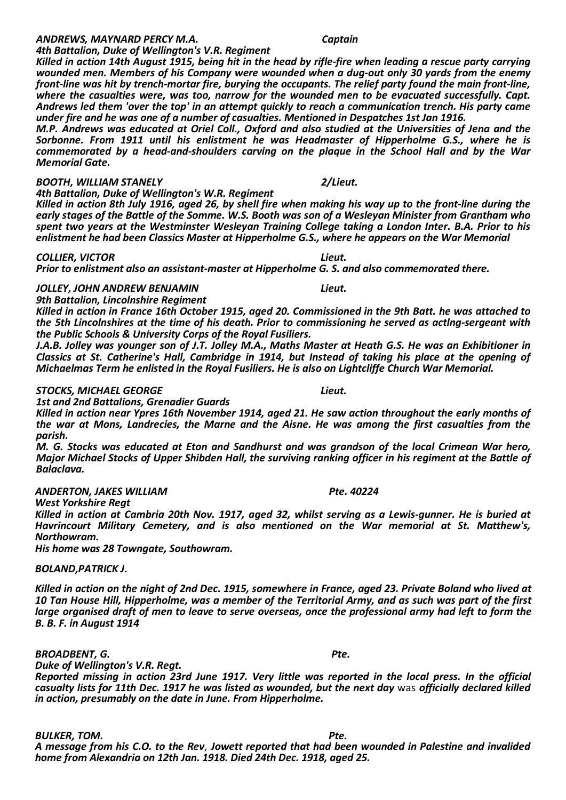### *BOOTH, WILLIAM STANELY 2/Lieut.*

*4th Battalion, Duke of Wellington's W.R. Regiment Killed in action 8th July 1916, aged 26, by shell fire when making his way up to the front-line during the early stages of the Battle of the Somme. W.S. Booth was son of a Wesleyan Minister from Grantham who spent two years at the Westminster Wesleyan Training College taking a London Inter. B.A. Prior to his enlistment he had been Classics Master at Hipperholme G.S., where he appears on the War Memorial*

*Killed in action 14th August 1915, being hit in the head by rifle-fire when leading a rescue party carrying wounded men. Members of his Company were wounded when a dug-out only 30 yards from the enemy front-line was hit by trench-mortar fire, burying the occupants. The relief party found the main front-line, where the casualties were, was too, narrow for the wounded men to be evacuated successfully. Capt.* 

#### *COLLIER, VICTOR Lieut.*

*Memorial Gate.*

*Prior to enlistment also an assistant-master at Hipperholme G. S. and also commemorated there.*

#### *JOLLEY, JOHN ANDREW BENJAMIN Lieut.*

*9th Battalion, Lincolnshire Regiment*

*Killed in action in France 16th October 1915, aged 20. Commissioned in the 9th Batt. he was attached to the 5th Lincolnshires at the time of his death. Prior to commissioning he served as actlng-sergeant with the Public Schools & University Corps of the Royal Fusiliers.*

*J.A.B. Jolley was younger son of J.T. Jolley M.A., Maths Master at Heath G.S. He was an Exhibitioner in Classics at St. Catherine's Hall, Cambridge in 1914, but Instead of taking his place at the opening of Michaelmas Term he enlisted in the Royal Fusiliers. He is also on Lightcliffe Church War Memorial.*

#### *STOCKS, MICHAEL GEORGE Lieut.*

*1st and 2nd Battalions, Grenadier Guards*

*Killed in action near Ypres 16th November 1914, aged 21. He saw action throughout the early months of the war at Mons, Landrecies, the Marne and the Aisne. He was among the first casualties from the parish.*

*M. G. Stocks was educated at Eton and Sandhurst and was grandson of the local Crimean War hero, Major Michael Stocks of Upper Shibden Hall, the surviving ranking officer in his regiment at the Battle of Balaclava.*

### *ANDERTON, JAKES WILLIAM Pte. 40224*

*West Yorkshire Regt*

*Killed in action at Cambria 20th Nov. 1917, aged 32, whilst serving as a Lewis-gunner. He is buried at Havrincourt Military Cemetery, and is also mentioned on the War memorial at St. Matthew's, Northowram.*

*His home was 28 Towngate, Southowram.*

### *BOLAND,PATRICK J.*

*Killed in action on the night of 2nd Dec. 1915, somewhere in France, aged 23. Private Boland who lived at 10 Tan House Hill, Hipperholme, was a member of the Territorial Army, and as such was part of the first large organised draft of men to leave to serve overseas, once the professional army had left to form the B. B. F. in August 1914*

*BROADBENT, G.*<br>Duke of Wellington's V.R. Regt. Physics and the control of the particle properties of the control of the control of the control of the control of the control of the control of the control of the control of

*Duke of Wellington's V.R. Regt. Reported missing in action 23rd June 1917. Very little was reported in the local press. In the official casualty lists for 11th Dec. 1917 he was listed as wounded, but the next day* was *officially declared killed in action, presumably on the date in June. From Hipperholme.*

**BULKER, TOM. Pte.** *A message from his C.O. to the Rev*, *Jowett reported that had been wounded in Palestine and invalided home from Alexandria on 12th Jan. 1918. Died 24th Dec. 1918, aged 25.*

#### *ANDREWS, MAYNARD PERCY M.A. Captain 4th Battalion, Duke of Wellington's V.R. Regiment*

*Andrews led them 'over the top' in an attempt quickly to reach a communication trench. His party came under fire and he was one of a number of casualties. Mentioned in Despatches 1st Jan 1916. M.P. Andrews was educated at Oriel Coll., Oxford and also studied at the Universities of Jena and the Sorbonne. From 1911 until his enlistment he was Headmaster of Hipperholme G.S., where he is commemorated by a head-and-shoulders carving on the plaque in the School Hall and by the War*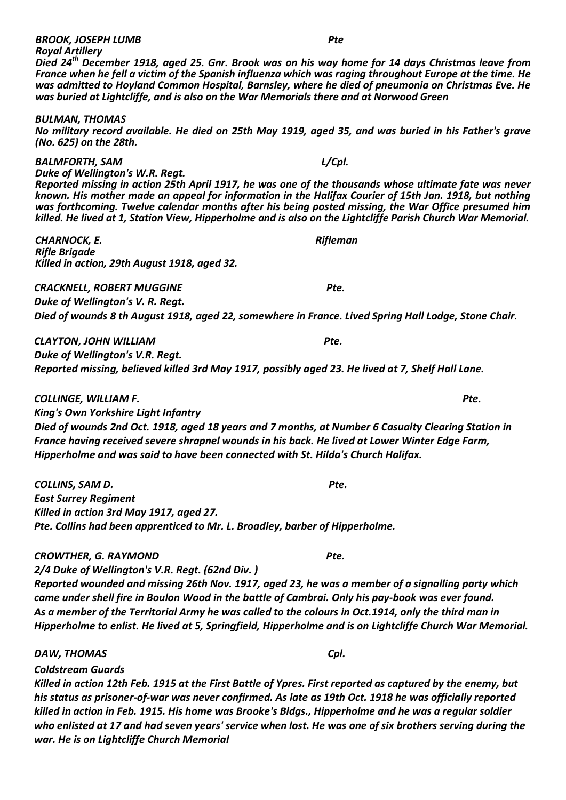*Royal Artillery Died 24th December 1918, aged 25. Gnr. Brook was on his way home for 14 days Christmas leave from France when he fell a victim of the Spanish influenza which was raging throughout Europe at the time. He was admitted to Hoyland Common Hospital, Barnsley, where he died of pneumonia on Christmas Eve. He was buried at Lightcliffe, and is also on the War Memorials there and at Norwood Green*

*BULMAN, THOMAS*

*No military record available. He died on 25th May 1919, aged 35, and was buried in his Father's grave (No. 625) on the 28th.*

*BALMFORTH, SAM L/Cpl.*

*Duke of Wellington's W.R. Regt. Reported missing in action 25th April 1917, he was one of the thousands whose ultimate fate was never known. His mother made an appeal for information in the Halifax Courier of 15th Jan. 1918, but nothing was forthcoming. Twelve calendar months after his being posted missing, the War Office presumed him killed. He lived at 1, Station View, Hipperholme and is also on the Lightcliffe Parish Church War Memorial.*

*CHARNOCK, E. Rifleman Rifle Brigade Killed in action, 29th August 1918, aged 32.*

*CRACKNELL, ROBERT MUGGINE Pte. Duke of Wellington's V. R. Regt.*

*Died of wounds 8 th August 1918, aged 22, somewhere in France. Lived Spring Hall Lodge, Stone Chair.*

*CLAYTON, JOHN WILLIAM Pte. Duke of Wellington's V.R. Regt. Reported missing, believed killed 3rd May 1917, possibly aged 23. He lived at 7, Shelf Hall Lane.*

*COLLINGE, WILLIAM F. Pte.*

*King's Own Yorkshire Light Infantry Died of wounds 2nd Oct. 1918, aged 18 years and 7 months, at Number 6 Casualty Clearing Station in France having received severe shrapnel wounds in his back. He lived at Lower Winter Edge Farm, Hipperholme and was said to have been connected with St. Hilda's Church Halifax.*

*COLLINS, SAM D. Pte. East Surrey Regiment Killed in action 3rd May 1917, aged 27. Pte. Collins had been apprenticed to Mr. L. Broadley, barber of Hipperholme.*

*CROWTHER, G. RAYMOND Pte.*

*2/4 Duke of Wellington's V.R. Regt. (62nd Div. ) Reported wounded and missing 26th Nov. 1917, aged 23, he was a member of a signalling party which came under shell fire in Boulon Wood in the battle of Cambrai. Only his pay-book was ever found. As a member of the Territorial Army he was called to the colours in Oct.1914, only the third man in Hipperholme to enlist. He lived at 5, Springfield, Hipperholme and is on Lightcliffe Church War Memorial.*

*DAW, THOMAS Cpl.*

*Coldstream Guards*

*Killed in action 12th Feb. 1915 at the First Battle of Ypres. First reported as captured by the enemy, but his status as prisoner-of-war was never confirmed. As late as 19th Oct. 1918 he was officially reported killed in action in Feb. 1915. His home was Brooke's Bldgs., Hipperholme and he was a regular soldier who enlisted at 17 and had seven years' service when lost. He was one of six brothers serving during the war. He is on Lightcliffe Church Memorial*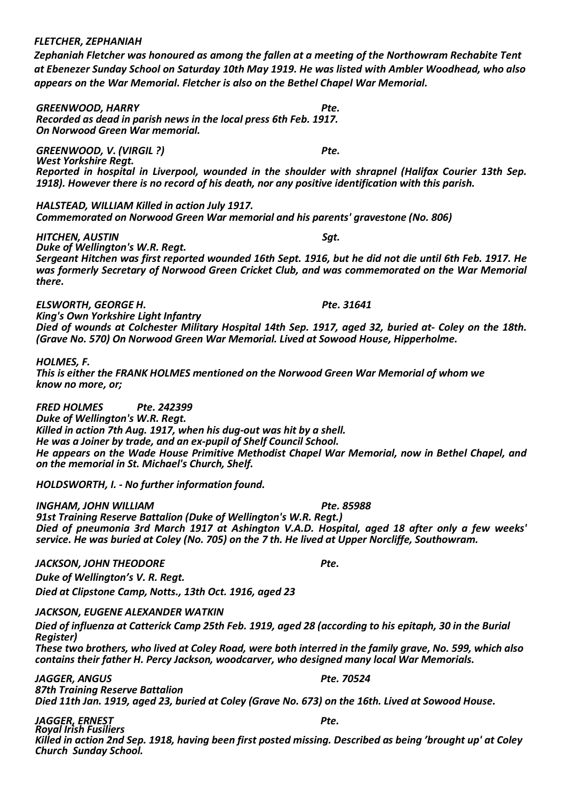#### *FLETCHER, ZEPHANIAH*

*Zephaniah Fletcher was honoured as among the fallen at a meeting of the Northowram Rechabite Tent at Ebenezer Sunday School on Saturday 10th May 1919. He was listed with Ambler Woodhead, who also appears on the War Memorial. Fletcher is also on the Bethel Chapel War Memorial.*

*GREENWOOD, HARRY Pte. Recorded as dead in parish news in the local press 6th Feb. 1917. On Norwood Green War memorial.*

*GREENWOOD, V. (VIRGIL ?) Pte. West Yorkshire Regt. Reported in hospital in Liverpool, wounded in the shoulder with shrapnel (Halifax Courier 13th Sep. 1918). However there is no record of his death, nor any positive identification with this parish.*

*HALSTEAD, WILLIAM Killed in action July 1917. Commemorated on Norwood Green War memorial and his parents' gravestone (No. 806)*

*HITCHEN, AUSTIN Sgt.*

*Duke of Wellington's W.R. Regt. Sergeant Hitchen was first reported wounded 16th Sept. 1916, but he did not die until 6th Feb. 1917. He was formerly Secretary of Norwood Green Cricket Club, and was commemorated on the War Memorial there.*

*ELSWORTH, GEORGE H. Pte. 31641*

*King's Own Yorkshire Light Infantry Died of wounds at Colchester Military Hospital 14th Sep. 1917, aged 32, buried at- Coley on the 18th. (Grave No. 570) On Norwood Green War Memorial. Lived at Sowood House, Hipperholme.*

*HOLMES, F.*

*This is either the FRANK HOLMES mentioned on the Norwood Green War Memorial of whom we know no more, or;*

*FRED HOLMES Pte. 242399*

*Duke of Wellington's W.R. Regt. Killed in action 7th Aug. 1917, when his dug-out was hit by a shell. He was a Joiner by trade, and an ex-pupil of Shelf Council School. He appears on the Wade House Primitive Methodist Chapel War Memorial, now in Bethel Chapel, and on the memorial in St. Michael's Church, Shelf.*

*HOLDSWORTH, I. - No further information found.*

*INGHAM, JOHN WILLIAM Pte. 85988*

*91st Training Reserve Battalion (Duke of Wellington's W.R. Regt.) Died of pneumonia 3rd March 1917 at Ashington V.A.D. Hospital, aged 18 after only a few weeks' service. He was buried at Coley (No. 705) on the 7 th. He lived at Upper Norcliffe, Southowram.*

*JACKSON, JOHN THEODORE Pte.*

*Duke of Wellington's V. R. Regt. Died at Clipstone Camp, Notts., 13th Oct. 1916, aged 23* 

*JACKSON, EUGENE ALEXANDER WATKIN*

*Died of influenza at Catterick Camp 25th Feb. 1919, aged 28 (according to his epitaph, 30 in the Burial Register)*

*These two brothers, who lived at Coley Road, were both interred in the family grave, No. 599, which also contains their father H. Percy Jackson, woodcarver, who designed many local War Memorials.*

*JAGGER, ANGUS Pte. 70524 87th Training Reserve Battalion Died 11th Jan. 1919, aged 23, buried at Coley (Grave No. 673) on the 16th. Lived at Sowood House.*

*JAGGER, ERNEST Pte. Royal Irish Fusiliers Killed in action 2nd Sep. 1918, having been first posted missing. Described as being 'brought up' at Coley Church Sunday School.*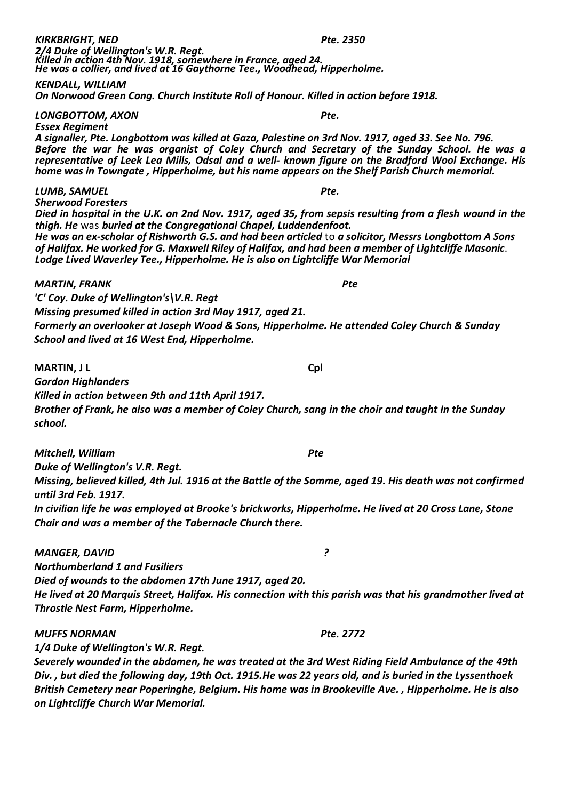| Pte. 2350                                                                                                                                                                        |
|----------------------------------------------------------------------------------------------------------------------------------------------------------------------------------|
| 2/4 Duke of Wellington's W.R. Regt.<br>Killed in action 4th Nov. 1918, somewhere in France, aged 24.<br>He was a collier, and lived at 16 Gaythorne Tee., Woodhead, Hipperholme. |
|                                                                                                                                                                                  |
|                                                                                                                                                                                  |
|                                                                                                                                                                                  |
|                                                                                                                                                                                  |

*On Norwood Green Cong. Church Institute Roll of Honour. Killed in action before 1918.*

*LONGBOTTOM, AXON Pte.*

*Essex Regiment A signaller, Pte. Longbottom was killed at Gaza, Palestine on 3rd Nov. 1917, aged 33. See No. 796. Before the war he was organist of Coley Church and Secretary of the Sunday School. He was a representative of Leek Lea Mills, Odsal and a well- known figure on the Bradford Wool Exchange. His home was in Towngate , Hipperholme, but his name appears on the Shelf Parish Church memorial.*

#### *LUMB, SAMUEL Pte.*

*Sherwood Foresters*

*Died in hospital in the U.K. on 2nd Nov. 1917, aged 35, from sepsis resulting from a flesh wound in the thigh. He* was *buried at the Congregational Chapel, Luddendenfoot. He was an ex-scholar of Rishworth G.S. and had been articled* to *a solicitor, Messrs Longbottom A Sons* 

*of Halifax. He worked for G. Maxwell Riley of Halifax, and had been a member of Lightcliffe Masonic*. *Lodge Lived Waverley Tee., Hipperholme. He is also on Lightcliffe War Memorial*

#### *MARTIN, FRANK Pte*

*'C' Coy. Duke of Wellington's\V.R. Regt*

*Missing presumed killed in action 3rd May 1917, aged 21.*

*Formerly an overlooker at Joseph Wood & Sons, Hipperholme. He attended Coley Church & Sunday School and lived at 16 West End, Hipperholme.*

**MARTIN, J L Cpl**

*Gordon Highlanders*

*Killed in action between 9th and 11th April 1917.*

*Brother of Frank, he also was a member of Coley Church, sang in the choir and taught In the Sunday school.*

*Mitchell, William Pte*

*Duke of Wellington's V.R. Regt. Missing, believed killed, 4th Jul. 1916 at the Battle of the Somme, aged 19. His death was not confirmed until 3rd Feb. 1917.*

*In civilian life he was employed at Brooke's brickworks, Hipperholme. He lived at 20 Cross Lane, Stone Chair and was a member of the Tabernacle Church there.*

#### *MANGER, DAVID ?*

*Northumberland 1 and Fusiliers*

*Died of wounds to the abdomen 17th June 1917, aged 20.*

*He lived at 20 Marquis Street, Halifax. His connection with this parish was that his grandmother lived at Throstle Nest Farm, Hipperholme.*

#### *MUFFS NORMAN Pte. 2772*

*1/4 Duke of Wellington's W.R. Regt.*

*Severely wounded in the abdomen, he was treated at the 3rd West Riding Field Ambulance of the 49th Div. , but died the following day, 19th Oct. 1915.He was 22 years old, and is buried in the Lyssenthoek British Cemetery near Poperinghe, Belgium. His home was in Brookeville Ave. , Hipperholme. He is also on Lightcliffe Church War Memorial.*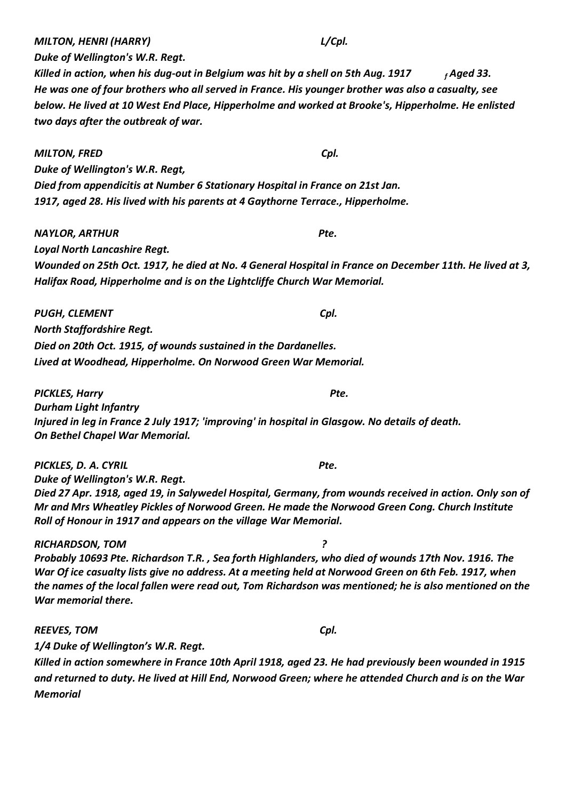*MILTON, HENRI (HARRY) L/Cpl.*

*Duke of Wellington's W.R. Regt.*

*Killed in action, when his dug-out in Belgium was hit by a shell on 5th Aug. 1917 <sup>f</sup> Aged 33. He was one of four brothers who all served in France. His younger brother was also a casualty, see below. He lived at 10 West End Place, Hipperholme and worked at Brooke's, Hipperholme. He enlisted two days after the outbreak of war.*

*MILTON, FRED Cpl. Duke of Wellington's W.R. Regt, Died from appendicitis at Number 6 Stationary Hospital in France on 21st Jan. 1917, aged 28. His lived with his parents at 4 Gaythorne Terrace., Hipperholme.*

*NAYLOR, ARTHUR Pte. Loyal North Lancashire Regt.*

*Wounded on 25th Oct. 1917, he died at No. 4 General Hospital in France on December 11th. He lived at 3, Halifax Road, Hipperholme and is on the Lightcliffe Church War Memorial.*

*PUGH, CLEMENT Cpl. North Staffordshire Regt. Died on 20th Oct. 1915, of wounds sustained in the Dardanelles. Lived at Woodhead, Hipperholme. On Norwood Green War Memorial.*

*PICKLES, Harry Pte. Durham Light Infantry Injured in leg in France 2 July 1917; 'improving' in hospital in Glasgow. No details of death. On Bethel Chapel War Memorial.*

*PICKLES, D. A. CYRIL Pte. Duke of Wellington's W.R. Regt. Died 27 Apr. 1918, aged 19, in Salywedel Hospital, Germany, from wounds received in action. Only son of Mr and Mrs Wheatley Pickles of Norwood Green. He made the Norwood Green Cong. Church Institute Roll of Honour in 1917 and appears on the village War Memorial.*

*RICHARDSON, TOM ? Probably 10693 Pte. Richardson T.R. , Sea forth Highlanders, who died of wounds 17th Nov. 1916. The War Of ice casualty lists give no address. At a meeting held at Norwood Green on 6th Feb. 1917, when the names of the local fallen were read out, Tom Richardson was mentioned; he is also mentioned on the War memorial there.*

*REEVES, TOM Cpl. 1/4 Duke of Wellington's W.R. Regt.*

*Killed in action somewhere in France 10th April 1918, aged 23. He had previously been wounded in 1915 and returned to duty. He lived at Hill End, Norwood Green; where he attended Church and is on the War Memorial*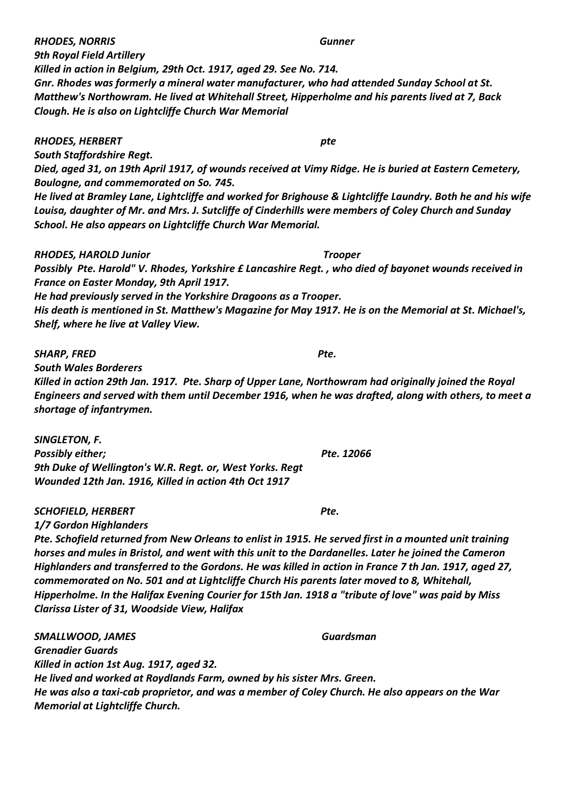*RHODES, NORRIS Gunner*

*Killed in action in Belgium, 29th Oct. 1917, aged 29. See No. 714. Gnr. Rhodes was formerly a mineral water manufacturer, who had attended Sunday School at St. Matthew's Northowram. He lived at Whitehall Street, Hipperholme and his parents lived at 7, Back Clough. He is also on Lightcliffe Church War Memorial*

#### *RHODES, HERBERT pte*

*South Staffordshire Regt.*

*9th Royal Field Artillery*

*Died, aged 31, on 19th April 1917, of wounds received at Vimy Ridge. He is buried at Eastern Cemetery, Boulogne, and commemorated on So. 745.*

*He lived at Bramley Lane, Lightcliffe and worked for Brighouse & Lightcliffe Laundry. Both he and his wife Louisa, daughter of Mr. and Mrs. J. Sutcliffe of Cinderhills were members of Coley Church and Sunday School. He also appears on Lightcliffe Church War Memorial.*

#### *RHODES, HAROLD Junior Trooper*

*Possibly Pte. Harold" V. Rhodes, Yorkshire £ Lancashire Regt. , who died of bayonet wounds received in France on Easter Monday, 9th April 1917.*

*He had previously served in the Yorkshire Dragoons as a Trooper.*

*His death is mentioned in St. Matthew's Magazine for May 1917. He is on the Memorial at St. Michael's, Shelf, where he live at Valley View.*

#### *SHARP, FRED Pte.*

*South Wales Borderers*

*Killed in action 29th Jan. 1917. Pte. Sharp of Upper Lane, Northowram had originally joined the Royal Engineers and served with them until December 1916, when he was drafted, along with others, to meet a shortage of infantrymen.*

*SINGLETON, F.* **Possibly either; Possible 20066** *9th Duke of Wellington's W.R. Regt. or, West Yorks. Regt Wounded 12th Jan. 1916, Killed in action 4th Oct 1917*

#### *SCHOFIELD, HERBERT Pte.*

*1/7 Gordon Highlanders*

*Pte. Schofield returned from New Orleans to enlist in 1915. He served first in a mounted unit training horses and mules in Bristol, and went with this unit to the Dardanelles. Later he joined the Cameron Highlanders and transferred to the Gordons. He was killed in action in France 7 th Jan. 1917, aged 27, commemorated on No. 501 and at Lightcliffe Church His parents later moved to 8, Whitehall, Hipperholme. In the Halifax Evening Courier for 15th Jan. 1918 a "tribute of love" was paid by Miss Clarissa Lister of 31, Woodside View, Halifax*

*SMALLWOOD, JAMES Guardsman Grenadier Guards Killed in action 1st Aug. 1917, aged 32. He lived and worked at Roydlands Farm, owned by his sister Mrs. Green. He was also a taxi-cab proprietor, and was a member of Coley Church. He also appears on the War Memorial at Lightcliffe Church.*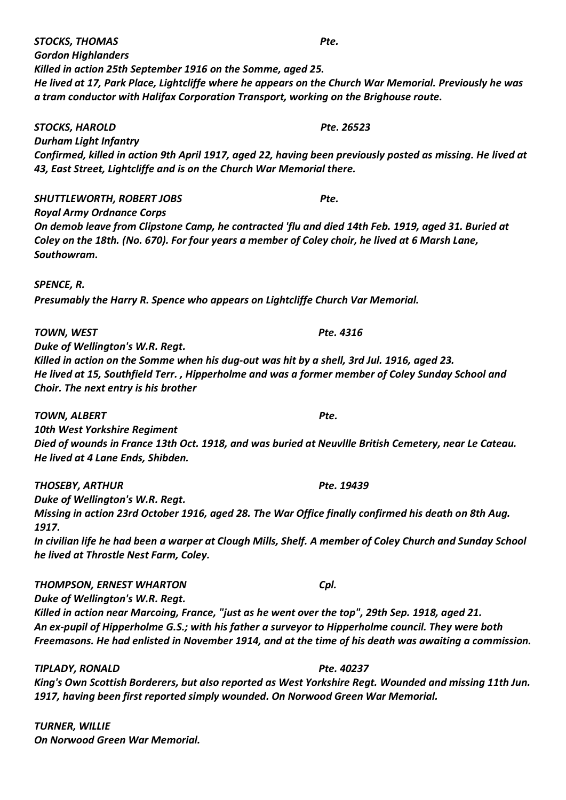*STOCKS, THOMAS Pte. Gordon Highlanders Killed in action 25th September 1916 on the Somme, aged 25. He lived at 17, Park Place, Lightcliffe where he appears on the Church War Memorial. Previously he was a tram conductor with Halifax Corporation Transport, working on the Brighouse route.*

*STOCKS, HAROLD Pte. 26523 Durham Light Infantry Confirmed, killed in action 9th April 1917, aged 22, having been previously posted as missing. He lived at 43, East Street, Lightcliffe and is on the Church War Memorial there.*

*SHUTTLEWORTH, ROBERT JOBS Pte. Royal Army Ordnance Corps On demob leave from Clipstone Camp, he contracted 'flu and died 14th Feb. 1919, aged 31. Buried at Coley on the 18th. (No. 670). For four years a member of Coley choir, he lived at 6 Marsh Lane, Southowram.*

*SPENCE, R.*

*Presumably the Harry R. Spence who appears on Lightcliffe Church Var Memorial.*

*TOWN, WEST Pte. 4316*

*Duke of Wellington's W.R. Regt. Killed in action on the Somme when his dug-out was hit by a shell, 3rd Jul. 1916, aged 23. He lived at 15, Southfield Terr. , Hipperholme and was a former member of Coley Sunday School and Choir. The next entry is his brother*

*TOWN, ALBERT Pte. 10th West Yorkshire Regiment Died of wounds in France 13th Oct. 1918, and was buried at Neuvllle British Cemetery, near Le Cateau. He lived at 4 Lane Ends, Shibden.*

*THOSEBY, ARTHUR Pte. 19439 Duke of Wellington's W.R. Regt. Missing in action 23rd October 1916, aged 28. The War Office finally confirmed his death on 8th Aug. 1917. In civilian life he had been a warper at Clough Mills, Shelf. A member of Coley Church and Sunday School he lived at Throstle Nest Farm, Coley.*

*THOMPSON, ERNEST WHARTON Cpl. Duke of Wellington's W.R. Regt. Killed in action near Marcoing, France, "just as he went over the top", 29th Sep. 1918, aged 21. An ex-pupil of Hipperholme G.S.; with his father a surveyor to Hipperholme council. They were both Freemasons. He had enlisted in November 1914, and at the time of his death was awaiting a commission.*

*TIPLADY, RONALD Pte. 40237 King's Own Scottish Borderers, but also reported as West Yorkshire Regt. Wounded and missing 11th Jun. 1917, having been first reported simply wounded. On Norwood Green War Memorial.*

*TURNER, WILLIE On Norwood Green War Memorial.*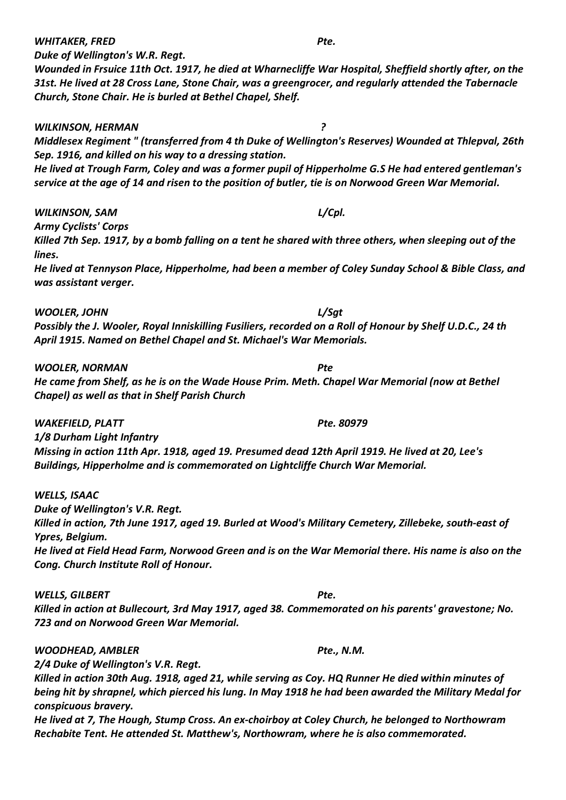*Duke of Wellington's W.R. Regt.*

*Wounded in Frsuice 11th Oct. 1917, he died at Wharnecliffe War Hospital, Sheffield shortly after, on the 31st. He lived at 28 Cross Lane, Stone Chair, was a greengrocer, and regularly attended the Tabernacle Church, Stone Chair. He is burled at Bethel Chapel, Shelf.*

*WILKINSON, HERMAN ? Middlesex Regiment " (transferred from 4 th Duke of Wellington's Reserves) Wounded at Thlepval, 26th Sep. 1916, and killed on his way to a dressing station. He lived at Trough Farm, Coley and was a former pupil of Hipperholme G.S He had entered gentleman's service at the age of 14 and risen to the position of butler, tie is on Norwood Green War Memorial.*

*WILKINSON, SAM L/Cpl.*

*Army Cyclists' Corps*

*Killed 7th Sep. 1917, by a bomb falling on a tent he shared with three others, when sleeping out of the lines.*

*He lived at Tennyson Place, Hipperholme, had been a member of Coley Sunday School & Bible Class, and was assistant verger.*

*WOOLER, JOHN L/Sgt*

*Possibly the J. Wooler, Royal Inniskilling Fusiliers, recorded on a Roll of Honour by Shelf U.D.C., 24 th April 1915. Named on Bethel Chapel and St. Michael's War Memorials.*

*WOOLER, NORMAN Pte*

*He came from Shelf, as he is on the Wade House Prim. Meth. Chapel War Memorial (now at Bethel Chapel) as well as that in Shelf Parish Church*

*WAKEFIELD, PLATT Pte. 80979*

*1/8 Durham Light Infantry Missing in action 11th Apr. 1918, aged 19. Presumed dead 12th April 1919. He lived at 20, Lee's Buildings, Hipperholme and is commemorated on Lightcliffe Church War Memorial.*

*WELLS, ISAAC Duke of Wellington's V.R. Regt. Killed in action, 7th June 1917, aged 19. Burled at Wood's Military Cemetery, Zillebeke, south-east of Ypres, Belgium.*

*He lived at Field Head Farm, Norwood Green and is on the War Memorial there. His name is also on the Cong. Church Institute Roll of Honour.*

*WELLS, GILBERT Pte.*

*Killed in action at Bullecourt, 3rd May 1917, aged 38. Commemorated on his parents' gravestone; No. 723 and on Norwood Green War Memorial.*

*WOODHEAD, AMBLER Pte., N.M.*

*2/4 Duke of Wellington's V.R. Regt.*

*Killed in action 30th Aug. 1918, aged 21, while serving as Coy. HQ Runner He died within minutes of being hit by shrapnel, which pierced his lung. In May 1918 he had been awarded the Military Medal for conspicuous bravery.*

*He lived at 7, The Hough, Stump Cross. An ex-choirboy at Coley Church, he belonged to Northowram Rechabite Tent. He attended St. Matthew's, Northowram, where he is also commemorated.*

*WHITAKER, FRED Pte.*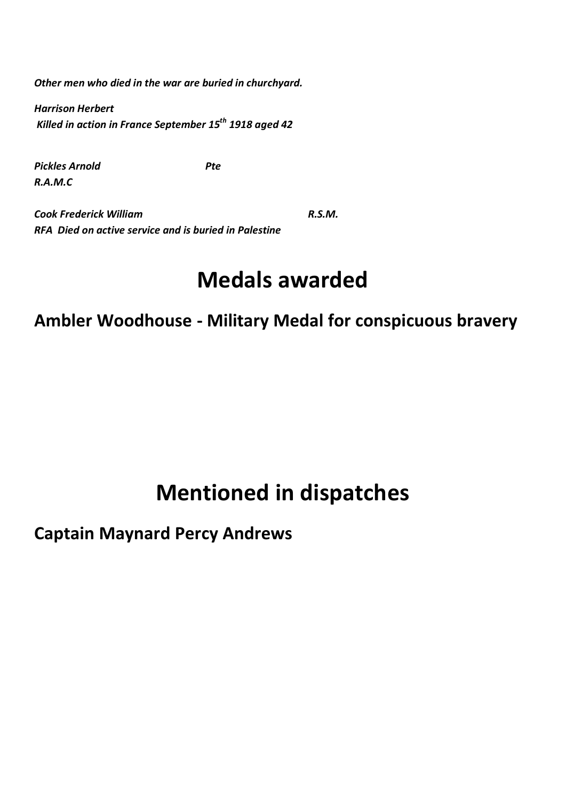*Other men who died in the war are buried in churchyard.* 

*Harrison Herbert Killed in action in France September 15th 1918 aged 42*

**Pickles Arnold** Pte *R.A.M.C*

**Cook Frederick William R.S.M. R.S.M.** *RFA Died on active service and is buried in Palestine*

## **Medals awarded**

**Ambler Woodhouse - Military Medal for conspicuous bravery**

## **Mentioned in dispatches**

## **Captain Maynard Percy Andrews**